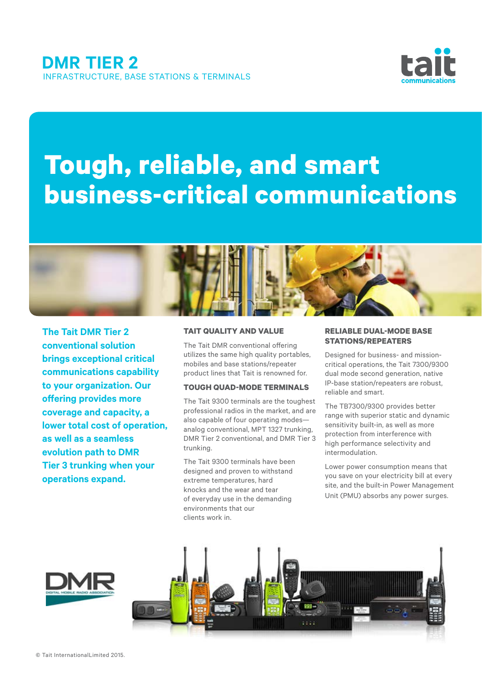

# **Tough, reliable, and smart business-critical communications**



**The Tait DMR Tier 2 conventional solution brings exceptional critical communications capability to your organization. Our offering provides more coverage and capacity, a lower total cost of operation, as well as a seamless evolution path to DMR Tier 3 trunking when your operations expand.** 

#### **TAIT QUALITY AND VALUE**

The Tait DMR conventional offering utilizes the same high quality portables, mobiles and base stations/repeater product lines that Tait is renowned for.

# **TOUGH QUAD-MODE TERMINALS**

The Tait 9300 terminals are the toughest professional radios in the market, and are also capable of four operating modes analog conventional, MPT 1327 trunking, DMR Tier 2 conventional, and DMR Tier 3 trunking.

The Tait 9300 terminals have been designed and proven to withstand extreme temperatures, hard knocks and the wear and tear of everyday use in the demanding environments that our clients work in.

# **RELIABLE DUAL-MODE BASE STATIONS/REPEATERS**

Designed for business- and missioncritical operations, the Tait 7300/9300 dual mode second generation, native IP-base station/repeaters are robust, reliable and smart.

The TB7300/9300 provides better range with superior static and dynamic sensitivity built-in, as well as more protection from interference with high performance selectivity and intermodulation.

Lower power consumption means that you save on your electricity bill at every site, and the built-in Power Management Unit (PMU) absorbs any power surges.